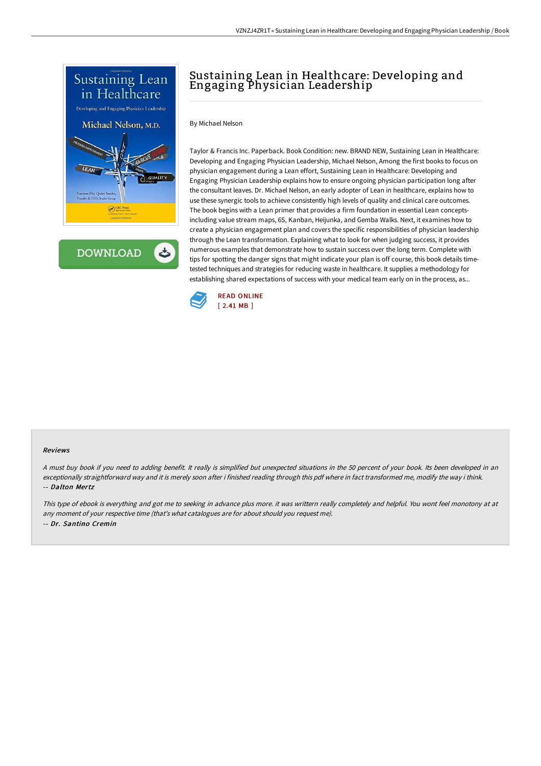

**DOWNLOAD** ٹ

# Sustaining Lean in Healthcare: Developing and Engaging Physician Leadership

By Michael Nelson

Taylor & Francis Inc. Paperback. Book Condition: new. BRAND NEW, Sustaining Lean in Healthcare: Developing and Engaging Physician Leadership, Michael Nelson, Among the first books to focus on physician engagement during a Lean effort, Sustaining Lean in Healthcare: Developing and Engaging Physician Leadership explains how to ensure ongoing physician participation long after the consultant leaves. Dr. Michael Nelson, an early adopter of Lean in healthcare, explains how to use these synergic tools to achieve consistently high levels of quality and clinical care outcomes. The book begins with a Lean primer that provides a firm foundation in essential Lean conceptsincluding value stream maps, 6S, Kanban, Heijunka, and Gemba Walks. Next, it examines how to create a physician engagement plan and covers the specific responsibilities of physician leadership through the Lean transformation. Explaining what to look for when judging success, it provides numerous examples that demonstrate how to sustain success over the long term. Complete with tips for spotting the danger signs that might indicate your plan is off course, this book details timetested techniques and strategies for reducing waste in healthcare. It supplies a methodology for establishing shared expectations of success with your medical team early on in the process, as...



#### Reviews

<sup>A</sup> must buy book if you need to adding benefit. It really is simplified but unexpected situations in the <sup>50</sup> percent of your book. Its been developed in an exceptionally straightforward way and it is merely soon after i finished reading through this pdf where in fact transformed me, modify the way i think. -- Dalton Mertz

This type of ebook is everything and got me to seeking in advance plus more. it was writtern really completely and helpful. You wont feel monotony at at any moment of your respective time (that's what catalogues are for about should you request me). -- Dr. Santino Cremin